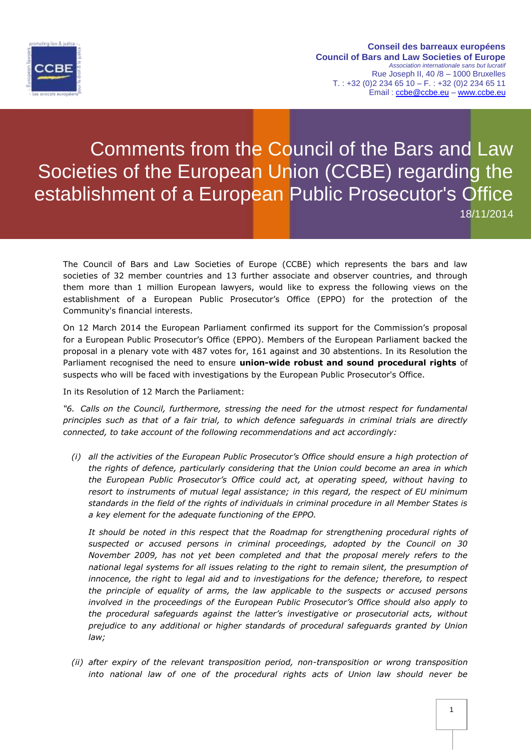

Comments from the Council of the Bars and Law Societies of the European Union (CCBE) regarding the establishment of a European Public Prosecutor's Office 18/11/2014

The Council of Bars and Law Societies of Europe (CCBE) which represents the bars and law societies of 32 member countries and 13 further associate and observer countries, and through them more than 1 million European lawyers, would like to express the following views on the establishment of a European Public Prosecutor's Office (EPPO) for the protection of the Community's financial interests.

On 12 March 2014 the European Parliament confirmed its support for the Commission's proposal for a European Public Prosecutor's Office (EPPO). Members of the European Parliament backed the proposal in a plenary vote with 487 votes for, 161 against and 30 abstentions. In its Resolution the Parliament recognised the need to ensure **union-wide robust and sound procedural rights** of suspects who will be faced with investigations by the European Public Prosecutor's Office.

In its Resolution of 12 March the Parliament:

*"6. Calls on the Council, furthermore, stressing the need for the utmost respect for fundamental principles such as that of a fair trial, to which defence safeguards in criminal trials are directly connected, to take account of the following recommendations and act accordingly:*

*(i) all the activities of the European Public Prosecutor's Office should ensure a high protection of the rights of defence, particularly considering that the Union could become an area in which the European Public Prosecutor's Office could act, at operating speed, without having to resort to instruments of mutual legal assistance; in this regard, the respect of EU minimum standards in the field of the rights of individuals in criminal procedure in all Member States is a key element for the adequate functioning of the EPPO.* 

It should be noted in this respect that the Roadmap for strengthening procedural rights of *suspected or accused persons in criminal proceedings, adopted by the Council on 30 November 2009, has not yet been completed and that the proposal merely refers to the national legal systems for all issues relating to the right to remain silent, the presumption of innocence, the right to legal aid and to investigations for the defence; therefore, to respect the principle of equality of arms, the law applicable to the suspects or accused persons involved in the proceedings of the European Public Prosecutor's Office should also apply to the procedural safeguards against the latter's investigative or prosecutorial acts, without prejudice to any additional or higher standards of procedural safeguards granted by Union law;*

*(ii) after expiry of the relevant transposition period, non-transposition or wrong transposition into national law of one of the procedural rights acts of Union law should never be*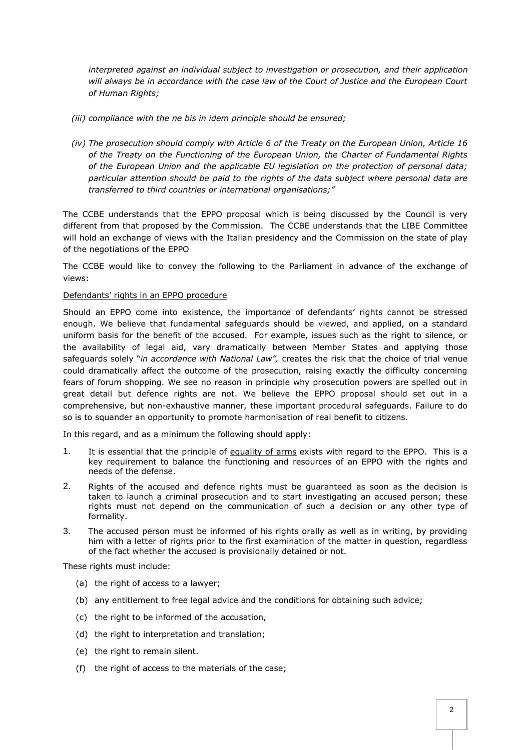*interpreted against an individual subject to investigation or prosecution, and their application will always be in accordance with the case law of the Court of Justice and the European Court of Human Rights;*

- *(iii) compliance with the ne bis in idem principle should be ensured;*
- *(iv) The prosecution should comply with Article 6 of the Treaty on the European Union, Article 16 of the Treaty on the Functioning of the European Union, the Charter of Fundamental Rights of the European Union and the applicable EU legislation on the protection of personal data; particular attention should be paid to the rights of the data subject where personal data are transferred to third countries or international organisations;"*

The CCBE understands that the EPPO proposal which is being discussed by the Council is very different from that proposed by the Commission. The CCBE understands that the LIBE Committee will hold an exchange of views with the Italian presidency and the Commission on the state of play of the negotiations of the EPPO

The CCBE would like to convey the following to the Parliament in advance of the exchange of views:

## Defendants' rights in an EPPO procedure

Should an EPPO come into existence, the importance of defendants' rights cannot be stressed enough. We believe that fundamental safeguards should be viewed, and applied, on a standard uniform basis for the benefit of the accused. For example, issues such as the right to silence, or the availability of legal aid, vary dramatically between Member States and applying those safeguards solely "*in accordance with National Law",* creates the risk that the choice of trial venue could dramatically affect the outcome of the prosecution, raising exactly the difficulty concerning fears of forum shopping. We see no reason in principle why prosecution powers are spelled out in great detail but defence rights are not. We believe the EPPO proposal should set out in a comprehensive, but non-exhaustive manner, these important procedural safeguards. Failure to do so is to squander an opportunity to promote harmonisation of real benefit to citizens.

In this regard, and as a minimum the following should apply:

- 1. It is essential that the principle of equality of arms exists with regard to the EPPO. This is a key requirement to balance the functioning and resources of an EPPO with the rights and needs of the defense.
- 2. Rights of the accused and defence rights must be guaranteed as soon as the decision is taken to launch a criminal prosecution and to start investigating an accused person; these rights must not depend on the communication of such a decision or any other type of formality.
- 3. The accused person must be informed of his rights orally as well as in writing, by providing him with a letter of rights prior to the first examination of the matter in question, regardless of the fact whether the accused is provisionally detained or not.

These rights must include:

- (a) the right of access to a lawyer;
- (b) any entitlement to free legal advice and the conditions for obtaining such advice;
- (c) the right to be informed of the accusation,
- (d) the right to interpretation and translation;
- (e) the right to remain silent.
- (f) the right of access to the materials of the case;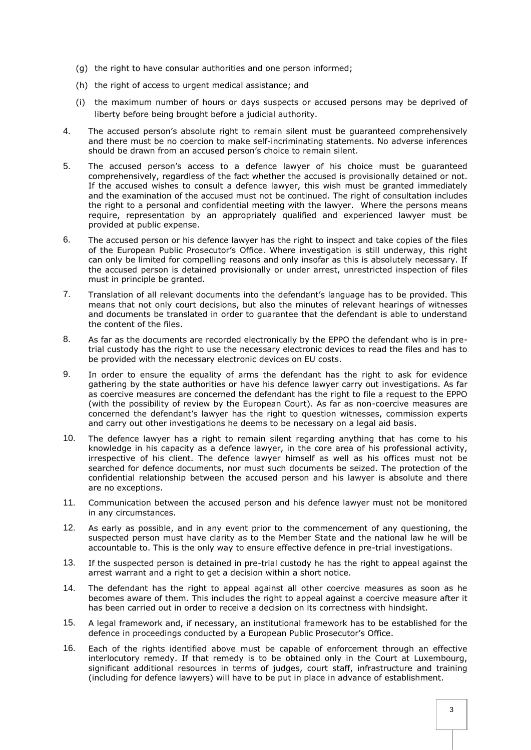- (g) the right to have consular authorities and one person informed;
- (h) the right of access to urgent medical assistance; and
- (i) the maximum number of hours or days suspects or accused persons may be deprived of liberty before being brought before a judicial authority.
- 4. The accused person's absolute right to remain silent must be guaranteed comprehensively and there must be no coercion to make self-incriminating statements. No adverse inferences should be drawn from an accused person's choice to remain silent.
- 5. The accused person's access to a defence lawyer of his choice must be guaranteed comprehensively, regardless of the fact whether the accused is provisionally detained or not. If the accused wishes to consult a defence lawyer, this wish must be granted immediately and the examination of the accused must not be continued. The right of consultation includes the right to a personal and confidential meeting with the lawyer. Where the persons means require, representation by an appropriately qualified and experienced lawyer must be provided at public expense.
- 6. The accused person or his defence lawyer has the right to inspect and take copies of the files of the European Public Prosecutor's Office. Where investigation is still underway, this right can only be limited for compelling reasons and only insofar as this is absolutely necessary. If the accused person is detained provisionally or under arrest, unrestricted inspection of files must in principle be granted.
- 7. Translation of all relevant documents into the defendant's language has to be provided. This means that not only court decisions, but also the minutes of relevant hearings of witnesses and documents be translated in order to guarantee that the defendant is able to understand the content of the files.
- 8. As far as the documents are recorded electronically by the EPPO the defendant who is in pretrial custody has the right to use the necessary electronic devices to read the files and has to be provided with the necessary electronic devices on EU costs.
- 9. In order to ensure the equality of arms the defendant has the right to ask for evidence gathering by the state authorities or have his defence lawyer carry out investigations. As far as coercive measures are concerned the defendant has the right to file a request to the EPPO (with the possibility of review by the European Court). As far as non-coercive measures are concerned the defendant's lawyer has the right to question witnesses, commission experts and carry out other investigations he deems to be necessary on a legal aid basis.
- 10. The defence lawyer has a right to remain silent regarding anything that has come to his knowledge in his capacity as a defence lawyer, in the core area of his professional activity, irrespective of his client. The defence lawyer himself as well as his offices must not be searched for defence documents, nor must such documents be seized. The protection of the confidential relationship between the accused person and his lawyer is absolute and there are no exceptions.
- 11. Communication between the accused person and his defence lawyer must not be monitored in any circumstances.
- 12. As early as possible, and in any event prior to the commencement of any questioning, the suspected person must have clarity as to the Member State and the national law he will be accountable to. This is the only way to ensure effective defence in pre-trial investigations.
- 13. If the suspected person is detained in pre-trial custody he has the right to appeal against the arrest warrant and a right to get a decision within a short notice.
- 14. The defendant has the right to appeal against all other coercive measures as soon as he becomes aware of them. This includes the right to appeal against a coercive measure after it has been carried out in order to receive a decision on its correctness with hindsight.
- 15. A legal framework and, if necessary, an institutional framework has to be established for the defence in proceedings conducted by a European Public Prosecutor's Office.
- 16. Each of the rights identified above must be capable of enforcement through an effective interlocutory remedy. If that remedy is to be obtained only in the Court at Luxembourg, significant additional resources in terms of judges, court staff, infrastructure and training (including for defence lawyers) will have to be put in place in advance of establishment.